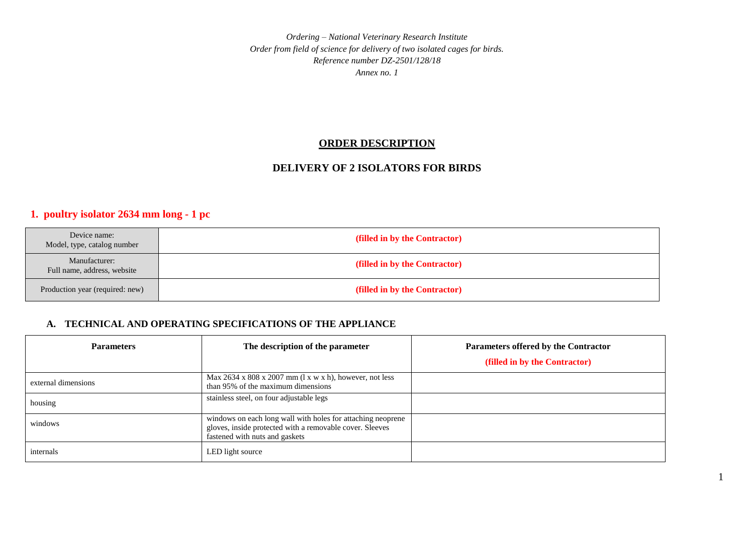### **ORDER DESCRIPTION**

## **DELIVERY OF 2 ISOLATORS FOR BIRDS**

## **1. poultry isolator 2634 mm long - 1 pc**

| Device name:<br>Model, type, catalog number  | (filled in by the Contractor) |
|----------------------------------------------|-------------------------------|
| Manufacturer:<br>Full name, address, website | (filled in by the Contractor) |
| Production year (required: new)              | (filled in by the Contractor) |

### **A. TECHNICAL AND OPERATING SPECIFICATIONS OF THE APPLIANCE**

| <b>Parameters</b>   | The description of the parameter                                                                                                                          | Parameters offered by the Contractor |
|---------------------|-----------------------------------------------------------------------------------------------------------------------------------------------------------|--------------------------------------|
|                     |                                                                                                                                                           | (filled in by the Contractor)        |
| external dimensions | Max $2634 \times 808 \times 2007$ mm (1 x w x h), however, not less<br>than 95% of the maximum dimensions                                                 |                                      |
| housing             | stainless steel, on four adjustable legs                                                                                                                  |                                      |
| windows             | windows on each long wall with holes for attaching neoprene<br>gloves, inside protected with a removable cover. Sleeves<br>fastened with nuts and gaskets |                                      |
| internals           | LED light source                                                                                                                                          |                                      |

1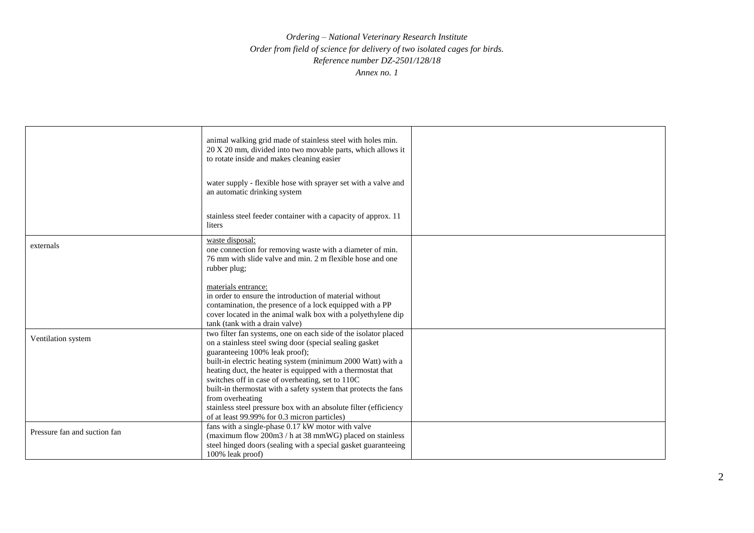|                              | animal walking grid made of stainless steel with holes min.<br>20 X 20 mm, divided into two movable parts, which allows it<br>to rotate inside and makes cleaning easier                                                                                                                                                                                                                                                                                                                                                                                  |  |
|------------------------------|-----------------------------------------------------------------------------------------------------------------------------------------------------------------------------------------------------------------------------------------------------------------------------------------------------------------------------------------------------------------------------------------------------------------------------------------------------------------------------------------------------------------------------------------------------------|--|
|                              | water supply - flexible hose with sprayer set with a valve and<br>an automatic drinking system                                                                                                                                                                                                                                                                                                                                                                                                                                                            |  |
|                              | stainless steel feeder container with a capacity of approx. 11<br>liters                                                                                                                                                                                                                                                                                                                                                                                                                                                                                  |  |
| externals                    | waste disposal:<br>one connection for removing waste with a diameter of min.<br>76 mm with slide valve and min, 2 m flexible hose and one<br>rubber plug;                                                                                                                                                                                                                                                                                                                                                                                                 |  |
|                              | materials entrance:<br>in order to ensure the introduction of material without<br>contamination, the presence of a lock equipped with a PP<br>cover located in the animal walk box with a polyethylene dip<br>tank (tank with a drain valve)                                                                                                                                                                                                                                                                                                              |  |
| Ventilation system           | two filter fan systems, one on each side of the isolator placed<br>on a stainless steel swing door (special sealing gasket<br>guaranteeing 100% leak proof);<br>built-in electric heating system (minimum 2000 Watt) with a<br>heating duct, the heater is equipped with a thermostat that<br>switches off in case of overheating, set to 110C<br>built-in thermostat with a safety system that protects the fans<br>from overheating<br>stainless steel pressure box with an absolute filter (efficiency<br>of at least 99.99% for 0.3 micron particles) |  |
| Pressure fan and suction fan | fans with a single-phase 0.17 kW motor with valve<br>(maximum flow 200m3 / h at 38 mmWG) placed on stainless<br>steel hinged doors (sealing with a special gasket guaranteeing<br>100% leak proof)                                                                                                                                                                                                                                                                                                                                                        |  |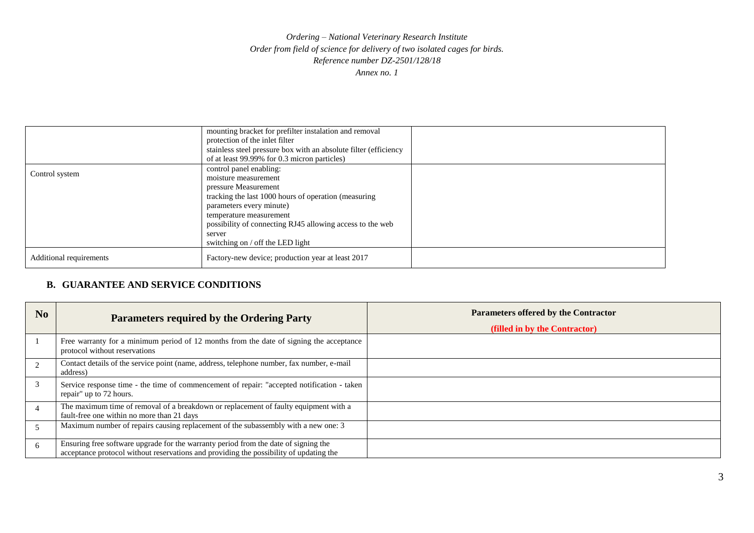|                         | mounting bracket for prefilter instalation and removal<br>protection of the inlet filter<br>stainless steel pressure box with an absolute filter (efficiency<br>of at least 99.99% for 0.3 micron particles)                                                                                      |  |
|-------------------------|---------------------------------------------------------------------------------------------------------------------------------------------------------------------------------------------------------------------------------------------------------------------------------------------------|--|
| Control system          | control panel enabling:<br>moisture measurement<br>pressure Measurement<br>tracking the last 1000 hours of operation (measuring<br>parameters every minute)<br>temperature measurement<br>possibility of connecting RJ45 allowing access to the web<br>server<br>switching on / off the LED light |  |
| Additional requirements | Factory-new device; production year at least 2017                                                                                                                                                                                                                                                 |  |

## **B. GUARANTEE AND SERVICE CONDITIONS**

| N <sub>0</sub> | <b>Parameters required by the Ordering Party</b>                                                                                                                              | <b>Parameters offered by the Contractor</b><br>(filled in by the Contractor) |
|----------------|-------------------------------------------------------------------------------------------------------------------------------------------------------------------------------|------------------------------------------------------------------------------|
|                | Free warranty for a minimum period of 12 months from the date of signing the acceptance<br>protocol without reservations                                                      |                                                                              |
| 2              | Contact details of the service point (name, address, telephone number, fax number, e-mail<br>address)                                                                         |                                                                              |
| 3              | Service response time - the time of commencement of repair: "accepted notification - taken<br>repair" up to 72 hours.                                                         |                                                                              |
| $\overline{4}$ | The maximum time of removal of a breakdown or replacement of faulty equipment with a<br>fault-free one within no more than 21 days                                            |                                                                              |
|                | Maximum number of repairs causing replacement of the subassembly with a new one: 3                                                                                            |                                                                              |
| 6              | Ensuring free software upgrade for the warranty period from the date of signing the<br>acceptance protocol without reservations and providing the possibility of updating the |                                                                              |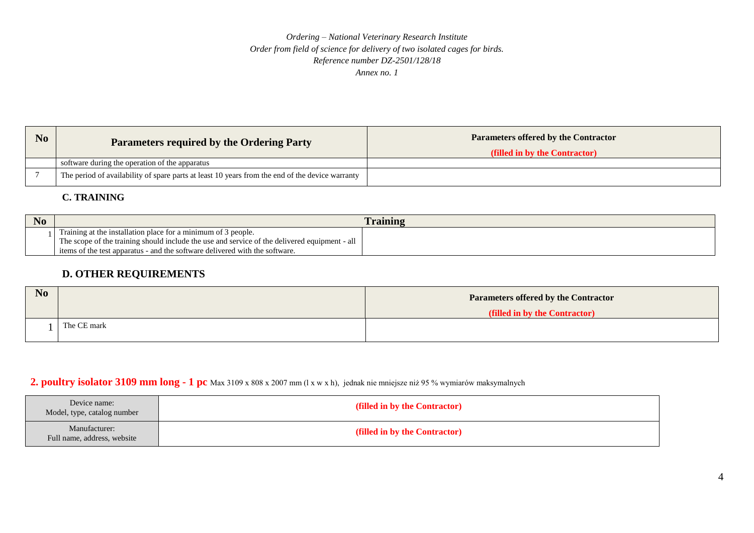| No | <b>Parameters required by the Ordering Party</b>                                                | <b>Parameters offered by the Contractor</b><br>(filled in by the Contractor) |
|----|-------------------------------------------------------------------------------------------------|------------------------------------------------------------------------------|
|    | software during the operation of the apparatus                                                  |                                                                              |
|    | The period of availability of spare parts at least 10 years from the end of the device warranty |                                                                              |

## **C. TRAINING**

| N <sub>o</sub> |                                                                                                                                                                                                                                                           | <b>Training</b> |
|----------------|-----------------------------------------------------------------------------------------------------------------------------------------------------------------------------------------------------------------------------------------------------------|-----------------|
|                | Training at the installation place for a minimum of 3 people.<br>The scope of the training should include the use and service of the delivered equipment - all $\parallel$<br>items of the test apparatus - and the software delivered with the software. |                 |

## **D. OTHER REQUIREMENTS**

| N <sub>0</sub> |             | <b>Parameters offered by the Contractor</b> |
|----------------|-------------|---------------------------------------------|
|                |             | (filled in by the Contractor)               |
|                | The CE mark |                                             |

# **2. poultry isolator 3109 mm long - 1 pc** Max 3109 x 808 x 2007 mm (l x w x h), jednak nie mniejsze niż 95 % wymiarów maksymalnych

| Device name:<br>Model, type, catalog number  | (filled in by the Contractor) |
|----------------------------------------------|-------------------------------|
| Manufacturer:<br>Full name, address, website | (filled in by the Contractor) |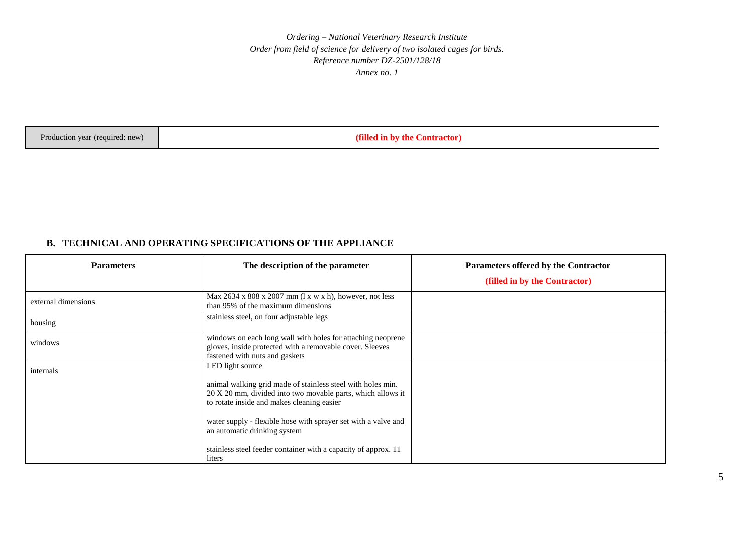Production year (required: new) **(filled in by the Contractor)**

### **B. TECHNICAL AND OPERATING SPECIFICATIONS OF THE APPLIANCE**

| <b>Parameters</b>   | The description of the parameter                                                                                                                                         | Parameters offered by the Contractor<br>(filled in by the Contractor) |
|---------------------|--------------------------------------------------------------------------------------------------------------------------------------------------------------------------|-----------------------------------------------------------------------|
|                     |                                                                                                                                                                          |                                                                       |
| external dimensions | Max $2634 \times 808 \times 2007$ mm (1 x w x h), however, not less<br>than 95% of the maximum dimensions                                                                |                                                                       |
| housing             | stainless steel, on four adjustable legs                                                                                                                                 |                                                                       |
| windows             | windows on each long wall with holes for attaching neoprene<br>gloves, inside protected with a removable cover. Sleeves<br>fastened with nuts and gaskets                |                                                                       |
| internals           | LED light source                                                                                                                                                         |                                                                       |
|                     | animal walking grid made of stainless steel with holes min.<br>20 X 20 mm, divided into two movable parts, which allows it<br>to rotate inside and makes cleaning easier |                                                                       |
|                     | water supply - flexible hose with sprayer set with a valve and<br>an automatic drinking system                                                                           |                                                                       |
|                     | stainless steel feeder container with a capacity of approx. 11<br>liters                                                                                                 |                                                                       |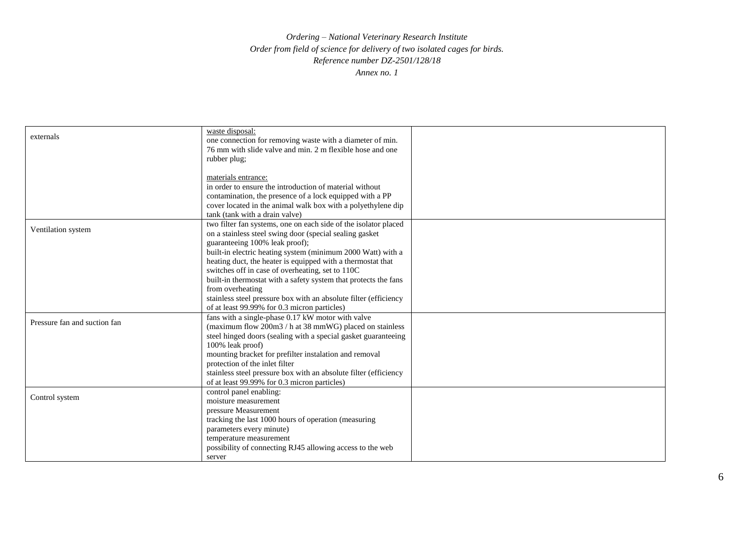|                              | waste disposal:                                                  |  |
|------------------------------|------------------------------------------------------------------|--|
| externals                    | one connection for removing waste with a diameter of min.        |  |
|                              | 76 mm with slide valve and min. 2 m flexible hose and one        |  |
|                              | rubber plug;                                                     |  |
|                              |                                                                  |  |
|                              | materials entrance:                                              |  |
|                              | in order to ensure the introduction of material without          |  |
|                              | contamination, the presence of a lock equipped with a PP         |  |
|                              | cover located in the animal walk box with a polyethylene dip     |  |
|                              | tank (tank with a drain valve)                                   |  |
|                              | two filter fan systems, one on each side of the isolator placed  |  |
| Ventilation system           | on a stainless steel swing door (special sealing gasket          |  |
|                              | guaranteeing 100% leak proof);                                   |  |
|                              | built-in electric heating system (minimum 2000 Watt) with a      |  |
|                              | heating duct, the heater is equipped with a thermostat that      |  |
|                              | switches off in case of overheating, set to 110C                 |  |
|                              | built-in thermostat with a safety system that protects the fans  |  |
|                              | from overheating                                                 |  |
|                              | stainless steel pressure box with an absolute filter (efficiency |  |
|                              | of at least 99.99% for 0.3 micron particles)                     |  |
|                              | fans with a single-phase 0.17 kW motor with valve                |  |
| Pressure fan and suction fan | (maximum flow 200m3 / h at 38 mmWG) placed on stainless          |  |
|                              | steel hinged doors (sealing with a special gasket guaranteeing   |  |
|                              | 100% leak proof)                                                 |  |
|                              | mounting bracket for prefilter instalation and removal           |  |
|                              | protection of the inlet filter                                   |  |
|                              | stainless steel pressure box with an absolute filter (efficiency |  |
|                              | of at least 99.99% for 0.3 micron particles)                     |  |
|                              | control panel enabling:                                          |  |
| Control system               | moisture measurement                                             |  |
|                              | pressure Measurement                                             |  |
|                              | tracking the last 1000 hours of operation (measuring             |  |
|                              | parameters every minute)                                         |  |
|                              | temperature measurement                                          |  |
|                              | possibility of connecting RJ45 allowing access to the web        |  |
|                              | server                                                           |  |
|                              |                                                                  |  |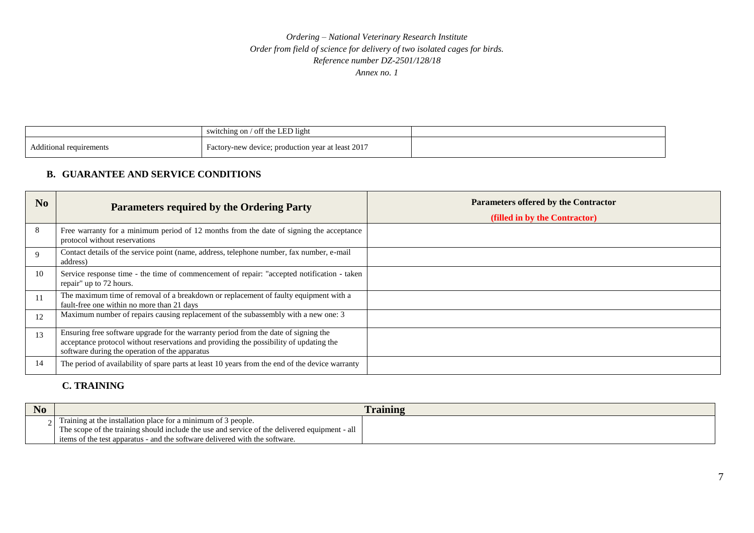|                         | switching on / off the LED light                  |  |
|-------------------------|---------------------------------------------------|--|
| Additional requirements | Factory-new device; production year at least 2017 |  |

## **B. GUARANTEE AND SERVICE CONDITIONS**

| No           | <b>Parameters required by the Ordering Party</b>                                                                                                                                                                                | <b>Parameters offered by the Contractor</b><br>(filled in by the Contractor) |
|--------------|---------------------------------------------------------------------------------------------------------------------------------------------------------------------------------------------------------------------------------|------------------------------------------------------------------------------|
| 8            | Free warranty for a minimum period of 12 months from the date of signing the acceptance<br>protocol without reservations                                                                                                        |                                                                              |
| $\mathbf{Q}$ | Contact details of the service point (name, address, telephone number, fax number, e-mail<br>address)                                                                                                                           |                                                                              |
| 10           | Service response time - the time of commencement of repair: "accepted notification - taken<br>repair" up to 72 hours.                                                                                                           |                                                                              |
| 11           | The maximum time of removal of a breakdown or replacement of faulty equipment with a<br>fault-free one within no more than 21 days                                                                                              |                                                                              |
| 12           | Maximum number of repairs causing replacement of the subassembly with a new one: 3                                                                                                                                              |                                                                              |
| 13           | Ensuring free software upgrade for the warranty period from the date of signing the<br>acceptance protocol without reservations and providing the possibility of updating the<br>software during the operation of the apparatus |                                                                              |
| 14           | The period of availability of spare parts at least 10 years from the end of the device warranty                                                                                                                                 |                                                                              |

## **C. TRAINING**

| raining                                                                                       |  |
|-----------------------------------------------------------------------------------------------|--|
| Training at the installation place for a minimum of 3 people.                                 |  |
| The scope of the training should include the use and service of the delivered equipment - all |  |
| items of the test apparatus - and the software delivered with the software.                   |  |